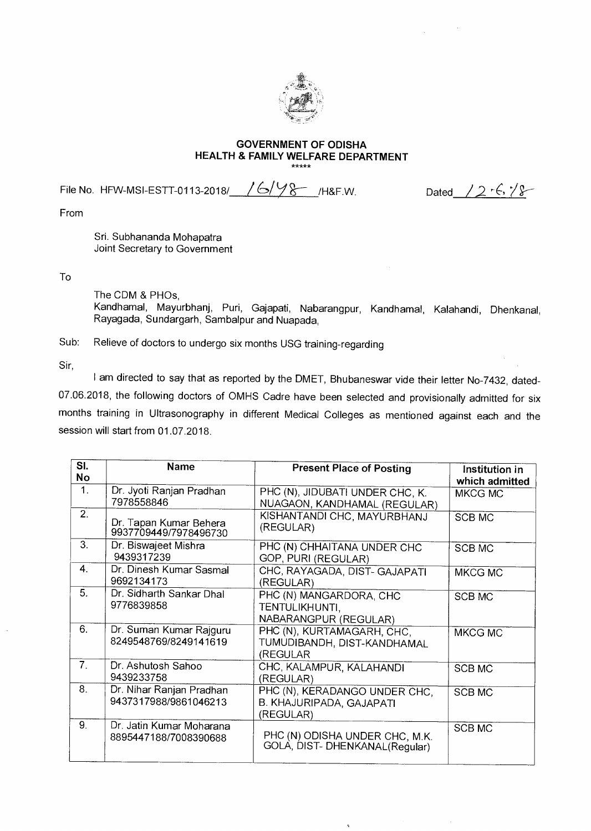

## **GOVERNMENT OF ODISHA HEALTH & FAMILY WELFARE DEPARTMENT**

File No. HFW-MSI-ESTT-0113-2018/  $/6/98$  /H&F.W. Dated  $/2$  '6,  $\frac{18}{8}$ 

From

Sri. Subhananda Mohapatra Joint Secretary to Government

To

The CDM & PHOs,

Kandhamal, Mayurbhanj, Puri, Gajapati, Nabarangpur, Kandhamal, Kalahandi, Dhenkanal, Rayagada, Sundargarh, Sambalpur and Nuapada,

Sub: Relieve of doctors to undergo six months USG training-regarding

Sir,

I am directed to say that as reported by the DMET, Bhubaneswar vide their letter No-7432, dated-07.06.2018, the following doctors of OMHS Cadre have been selected and provisionally admitted for six months training in Ultrasonography in different Medical Colleges as mentioned against each and the session will start from 01.07.2018.

| SI.            | <b>Name</b>                                       | <b>Present Place of Posting</b>                                        | Institution in |
|----------------|---------------------------------------------------|------------------------------------------------------------------------|----------------|
| <b>No</b>      |                                                   |                                                                        | which admitted |
| 1.             | Dr. Jyoti Ranjan Pradhan<br>7978558846            | PHC (N), JIDUBATI UNDER CHC, K.<br>NUAGAON, KANDHAMAL (REGULAR)        | MKCG MC        |
| 2.             | Dr. Tapan Kumar Behera<br>9937709449/7978496730   | KISHANTANDI CHC, MAYURBHANJ<br>(REGULAR)                               | <b>SCB MC</b>  |
| 3.             | Dr. Biswajeet Mishra<br>9439317239                | PHC (N) CHHAITANA UNDER CHC<br>GOP, PURI (REGULAR)                     | <b>SCB MC</b>  |
| 4.             | Dr. Dinesh Kumar Sasmal<br>9692134173             | CHC, RAYAGADA, DIST- GAJAPATI<br>(REGULAR)                             | MKCG MC        |
| 5.             | Dr. Sidharth Sankar Dhal<br>9776839858            | PHC (N) MANGARDORA, CHC<br>TENTULIKHUNTI.<br>NABARANGPUR (REGULAR)     | <b>SCB MC</b>  |
| 6.             | Dr. Suman Kumar Rajguru<br>8249548769/8249141619  | PHC (N), KURTAMAGARH, CHC,<br>TUMUDIBANDH, DIST-KANDHAMAL<br>(REGULAR  | <b>MKCG MC</b> |
| 7 <sub>1</sub> | Dr. Ashutosh Sahoo<br>9439233758                  | CHC, KALAMPUR, KALAHANDI<br>(REGULAR)                                  | <b>SCB MC</b>  |
| 8.             | Dr. Nihar Ranjan Pradhan<br>9437317988/9861046213 | PHC (N), KERADANGO UNDER CHC,<br>B. KHAJURIPADA, GAJAPATI<br>(REGULAR) | <b>SCB MC</b>  |
| 9.             | Dr. Jatin Kumar Moharana<br>8895447188/7008390688 | PHC (N) ODISHA UNDER CHC, M.K.<br>GOLA, DIST-DHENKANAL(Regular)        | <b>SCB MC</b>  |

 $\mathbf{v}$